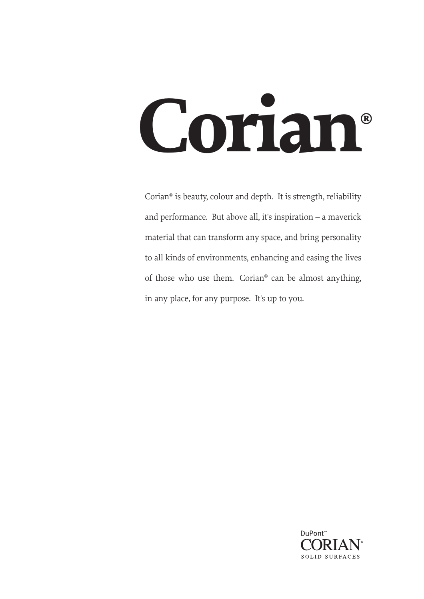# **Corian®**

Corian® is beauty, colour and depth. It is strength, reliability and performance. But above all, it's inspiration – a maverick material that can transform any space, and bring personality to all kinds of environments, enhancing and easing the lives of those who use them. Corian® can be almost anything, in any place, for any purpose. It's up to you.

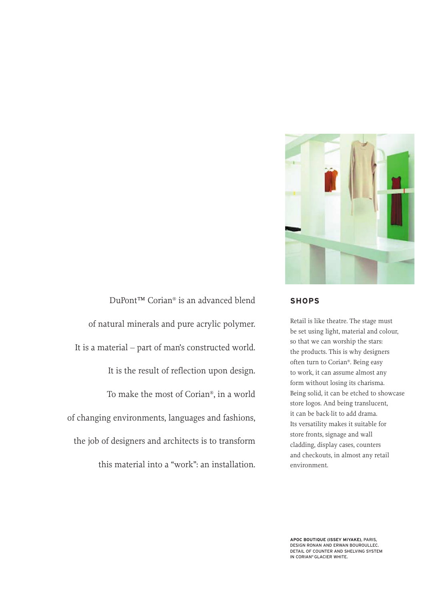

DuPont™ Corian® is an advanced blend of natural minerals and pure acrylic polymer. It is a material – part of man's constructed world. It is the result of reflection upon design. To make the most of Corian®, in a world of changing environments, languages and fashions, the job of designers and architects is to transform this material into a "work": an installation.

## **SHOPS**

Retail is like theatre. The stage must be set using light, material and colour, so that we can worship the stars: the products. This is why designers often turn to Corian®. Being easy to work, it can assume almost any form without losing its charisma. Being solid, it can be etched to showcase store logos. And being translucent, it can be back-lit to add drama. Its versatility makes it suitable for store fronts, signage and wall cladding, display cases, counters and checkouts, in almost any retail environment.

**APOC BOUTIQUE (ISSEY MIYAKE)**, PARIS, DESIGN RONAN AND ERWAN BOUROULLEC. DETAIL OF COUNTER AND SHELVING SYSTEM IN CORIAN® GLACIER WHITE.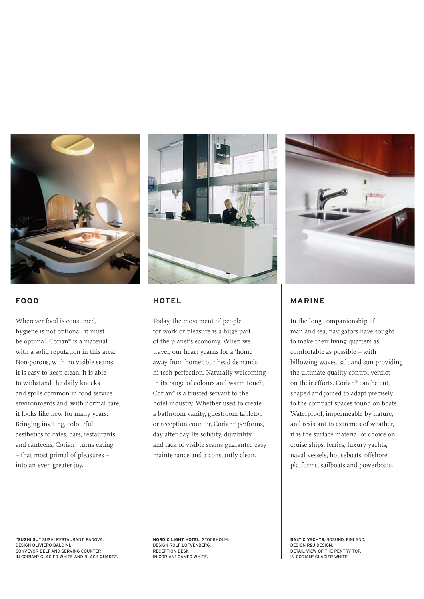

# **FOOD**

Wherever food is consumed, hygiene is not optional: it must be optimal. Corian® is a material with a solid reputation in this area. Non-porous, with no visible seams, it is easy to keep clean. It is able to withstand the daily knocks and spills common in food service environments and, with normal care, it looks like new for many years. Bringing inviting, colourful aesthetics to cafes, bars, restaurants and canteens, Corian® turns eating – that most primal of pleasures – into an even greater joy.



# **HOTEL**

Today, the movement of people for work or pleasure is a huge part of the planet's economy. When we travel, our heart yearns for a 'home away from home'; our head demands hi-tech perfection. Naturally welcoming in its range of colours and warm touch, Corian® is a trusted servant to the hotel industry. Whether used to create a bathroom vanity, guestroom tabletop or reception counter, Corian® performs, day after day. Its solidity, durability and lack of visible seams guarantee easy maintenance and a constantly clean.



# **MARINE**

In the long companionship of man and sea, navigators have sought to make their living quarters as comfortable as possible – with billowing waves, salt and sun providing the ultimate quality control verdict on their efforts. Corian® can be cut, shaped and joined to adapt precisely to the compact spaces found on boats. Waterproof, impermeable by nature, and resistant to extremes of weather, it is the surface material of choice on cruise ships, ferries, luxury yachts, naval vessels, houseboats, offshore platforms, sailboats and powerboats.

**"SUSHI SU"** SUSHI RESTAURANT, PADOVA, DESIGN OLIVIERO BALDINI. CONVEYOR BELT AND SERVING COUNTER IN CORIAN® GLACIER WHITE AND BLACK QUARTZ. **NORDIC LIGHT HOTEL**, STOCKHOLM, DESIGN ROLF LÖFVENBERG. RECEPTION DESK IN CORIAN® CAMEO WHITE.

**BALTIC YACHTS**, BOSUND, FINLAND, DESIGN R&J DESIGN. DETAIL VIEW OF THE PENTRY TOP, IN CORIAN® GLACIER WHITE.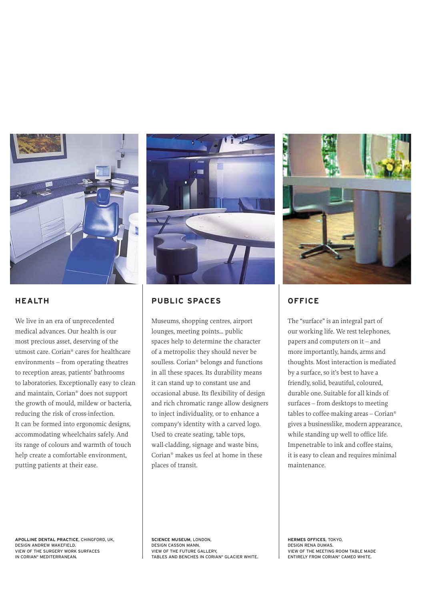

# **HEALTH**

We live in an era of unprecedented medical advances. Our health is our most precious asset, deserving of the utmost care. Corian® cares for healthcare environments – from operating theatres to reception areas, patients' bathrooms to laboratories. Exceptionally easy to clean and maintain, Corian® does not support the growth of mould, mildew or bacteria, reducing the risk of cross-infection. It can be formed into ergonomic designs, accommodating wheelchairs safely. And its range of colours and warmth of touch help create a comfortable environment, putting patients at their ease.



# **PUBLIC SPACES**

Museums, shopping centres, airport lounges, meeting points… public spaces help to determine the character of a metropolis: they should never be soulless. Corian® belongs and functions in all these spaces. Its durability means it can stand up to constant use and occasional abuse. Its flexibility of design and rich chromatic range allow designers to inject individuality, or to enhance a company's identity with a carved logo. Used to create seating, table tops, wall-cladding, signage and waste bins, Corian® makes us feel at home in these places of transit.



# **OFFICE**

The "surface" is an integral part of our working life. We rest telephones, papers and computers on it – and more importantly, hands, arms and thoughts. Most interaction is mediated by a surface, so it's best to have a friendly, solid, beautiful, coloured, durable one. Suitable for all kinds of surfaces – from desktops to meeting tables to coffee-making areas – Corian® gives a businesslike, modern appearance, while standing up well to office life. Impenetrable to ink and coffee stains, it is easy to clean and requires minimal maintenance.

**APOLLINE DENTAL PRACTICE**, CHINGFORD, UK, DESIGN ANDREW WAKEFIELD. VIEW OF THE SURGERY WORK SURFACES IN CORIAN® MEDITERRANEAN.

**SCIENCE MUSEUM**, LONDON, DESIGN CASSON MANN. VIEW OF THE FUTURE GALLERY, TABLES AND BENCHES IN CORIAN® GLACIER WHITE.

**HERMES OFFICES**, TOKYO, DESIGN RENA DUMAS. VIEW OF THE MEETING ROOM TABLE MADE ENTIRELY FROM CORIAN® CAMEO WHITE.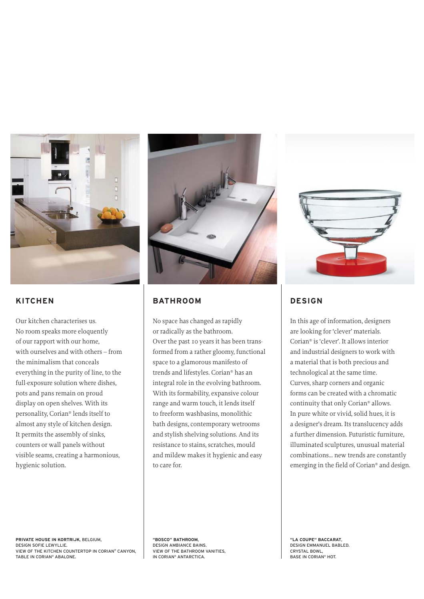

# **KITCHEN**

Our kitchen characterises us. No room speaks more eloquently of our rapport with our home, with ourselves and with others – from the minimalism that conceals everything in the purity of line, to the full-exposure solution where dishes, pots and pans remain on proud display on open shelves. With its personality, Corian® lends itself to almost any style of kitchen design. It permits the assembly of sinks, counters or wall panels without visible seams, creating a harmonious, hygienic solution.



# **BATHROOM**

No space has changed as rapidly or radically as the bathroom. Over the past 10 years it has been transformed from a rather gloomy, functional space to a glamorous manifesto of trends and lifestyles. Corian® has an integral role in the evolving bathroom. With its formability, expansive colour range and warm touch, it lends itself to freeform washbasins, monolithic bath designs, contemporary wetrooms and stylish shelving solutions. And its resistance to stains, scratches, mould and mildew makes it hygienic and easy to care for.



# **DESIGN**

In this age of information, designers are looking for 'clever' materials. Corian® is 'clever'. It allows interior and industrial designers to work with a material that is both precious and technological at the same time. Curves, sharp corners and organic forms can be created with a chromatic continuity that only Corian® allows. In pure white or vivid, solid hues, it is a designer's dream. Its translucency adds a further dimension. Futuristic furniture, illuminated sculptures, unusual material combinations… new trends are constantly emerging in the field of Corian® and design.

**PRIVATE HOUSE IN KORTRIJK**, BELGIUM, DESIGN SOFIE LEWYLLIE. VIEW OF THE KITCHEN COUNTERTOP IN CORIAN® CANYON, TABLE IN CORIAN® ABALONE.

**"BOSCO" BATHROOM**, DESIGN AMBIANCE BAINS. VIEW OF THE BATHROOM VANITIES, IN CORIAN® ANTARCTICA.

**"LA COUPE" BACCARAT**, DESIGN EMMANUEL BABLED. CRYSTAL BOWL, BASE IN CORIAN® HOT.